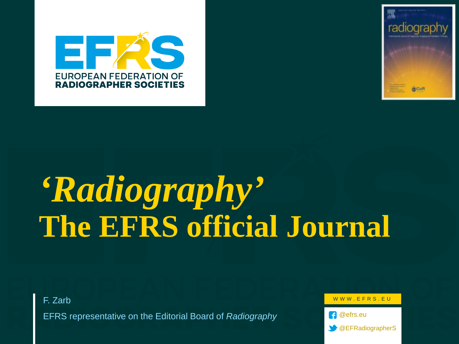



# *'Radiography'* **The EFRS official Journal**

F. Zarb

EFRS representative on the Editorial Board of *Radiography*

WWW.EFRS.EU

**1** @efrs.eu

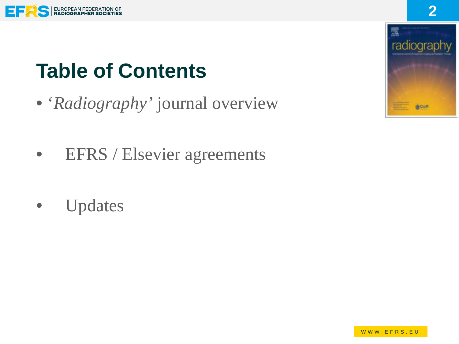

# **Table of Contents**

- '*Radiography'* journal overview
- EFRS / Elsevier agreements
- Updates

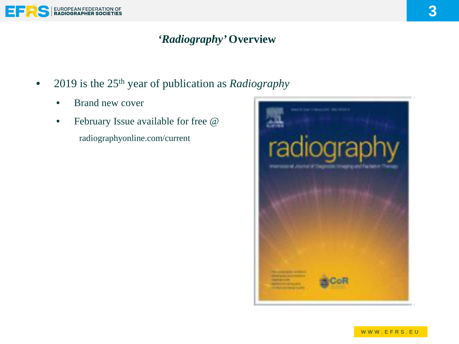

#### *'Radiography'* **Overview**

- 2019 is the 25th year of publication as *Radiography*
	- Brand new cover
	- February Issue available for free @ radiographyonline.com/current

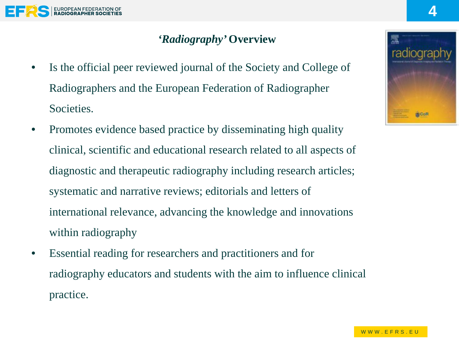

#### *'Radiography'* **Overview**

- Is the official peer reviewed journal of the Society and College of Radiographers and the European Federation of Radiographer Societies.
- Promotes evidence based practice by disseminating high quality clinical, scientific and educational research related to all aspects of diagnostic and therapeutic radiography including research articles; systematic and narrative reviews; editorials and letters of international relevance, advancing the knowledge and innovations within radiography
- Essential reading for researchers and practitioners and for radiography educators and students with the aim to influence clinical practice.

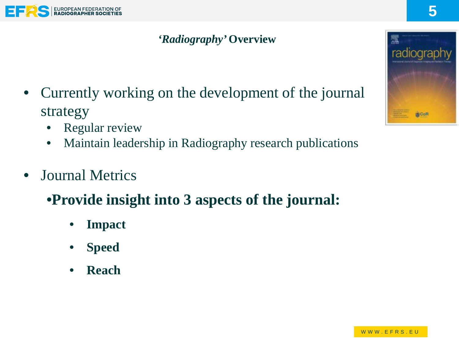

#### *'Radiography'* **Overview**

- Currently working on the development of the journal strategy
	- **Regular review**
	- Maintain leadership in Radiography research publications
- **Journal Metrics** 
	- •**Provide insight into 3 aspects of the journal:**
		- **Impact**
		- **Speed**
		- **Reach**

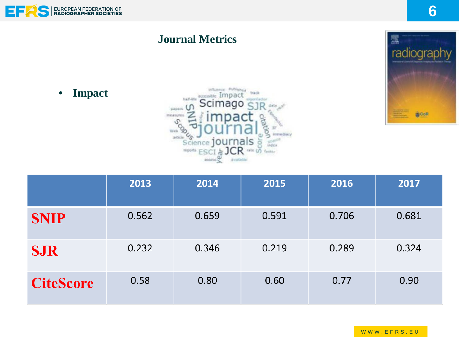



• **Impact**



|                  | 2013  | 2014  | 2015  | 2016  | 2017  |
|------------------|-------|-------|-------|-------|-------|
| <b>SNIP</b>      | 0.562 | 0.659 | 0.591 | 0.706 | 0.681 |
| <b>SJR</b>       | 0.232 | 0.346 | 0.219 | 0.289 | 0.324 |
| <b>CiteScore</b> | 0.58  | 0.80  | 0.60  | 0.77  | 0.90  |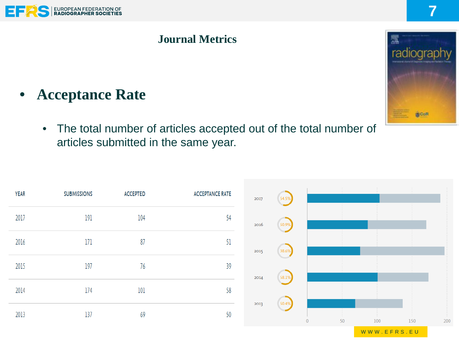

# • **Acceptance Rate**

• The total number of articles accepted out of the total number of articles submitted in the same year.

| <b>YEAR</b> | <b>SUBMISSIONS</b> | <b>ACCEPTED</b> | <b>ACCEPTANCE RATE</b> | 2017 | 54.5% |    |     |     |                        |
|-------------|--------------------|-----------------|------------------------|------|-------|----|-----|-----|------------------------|
| 2017        | 191                | 104             | 54                     | 2016 | 50.9% |    |     |     |                        |
| 2016        | 171                | 87              | 51                     | 2015 | 38.6% |    |     |     |                        |
| 2015        | 197                | 76              | 39                     | 2014 | 58.1% |    |     |     |                        |
| 2014        | 174                | 101             | 58                     |      |       |    |     |     | <b>***************</b> |
| 2013        | 137                | 69              | 50                     | 2013 | 50.4% | 50 | 100 | 150 | 200                    |

WWW.EFRS.EU

radiograpl **BCoR**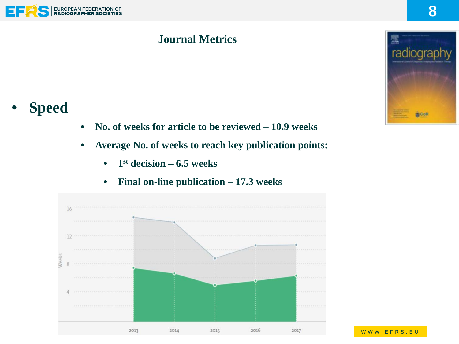

# • **Speed**

- **No. of weeks for article to be reviewed – 10.9 weeks**
- **Average No. of weeks to reach key publication points:**
	- **1st decision – 6.5 weeks**



• **Final on-line publication – 17.3 weeks**

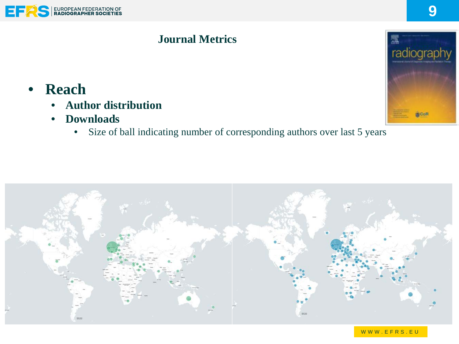

### • **Reach**

- **Author distribution**
- **Downloads**
	- Size of ball indicating number of corresponding authors over last 5 years



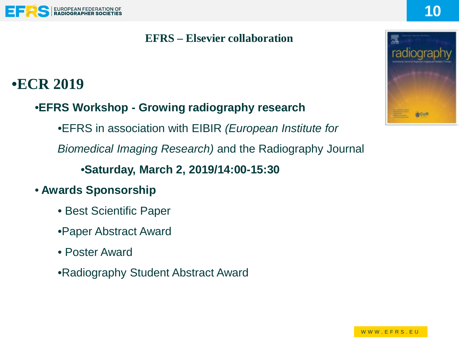#### EUROPEAN FEDERATION OF

#### **EFRS – Elsevier collaboration**

## •**ECR 2019**

#### •**EFRS Workshop - Growing radiography research**

•EFRS in association with EIBIR *(European Institute for* 

*Biomedical Imaging Research)* and the Radiography Journal

#### •**Saturday, March 2, 2019/14:00-15:30**

- **Awards Sponsorship**
	- Best Scientific Paper
	- •Paper Abstract Award
	- Poster Award
	- •Radiography Student Abstract Award



**10**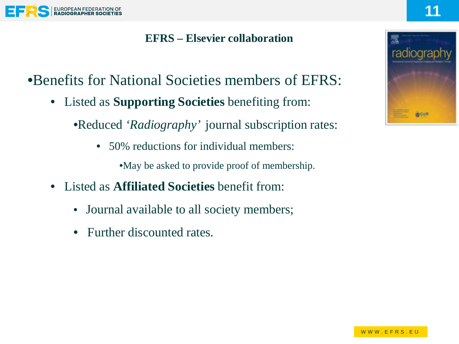

#### **EFRS – Elsevier collaboration**

•Benefits for National Societies members of EFRS:

• Listed as **Supporting Societies** benefiting from:

•Reduced *'Radiography'* journal subscription rates:

• 50% reductions for individual members:

•May be asked to provide proof of membership.

- Listed as **Affiliated Societies** benefit from:
	- Journal available to all society members;
	- Further discounted rates.

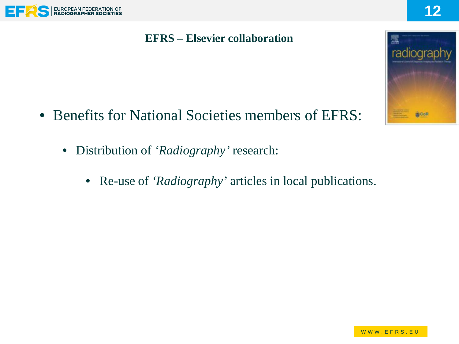

#### **EFRS – Elsevier collaboration**



- Benefits for National Societies members of EFRS:
	- Distribution of *'Radiography'* research:
		- Re-use of *'Radiography'* articles in local publications.